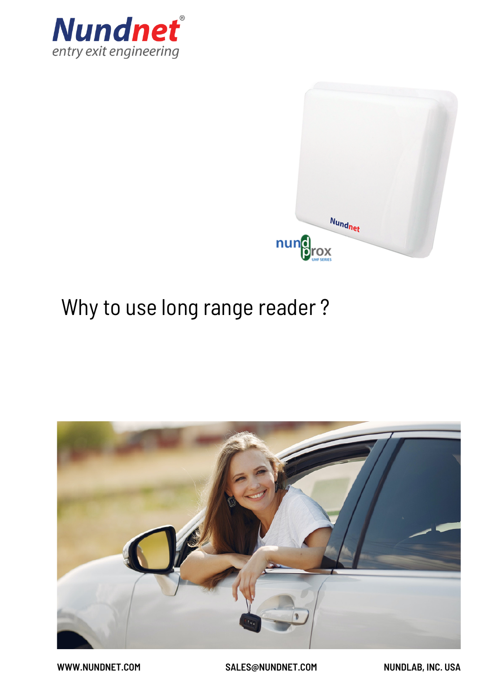





**WWW.NUNDNET.COM SALES@NUNDNET.COM NUNDLAB, INC. USA**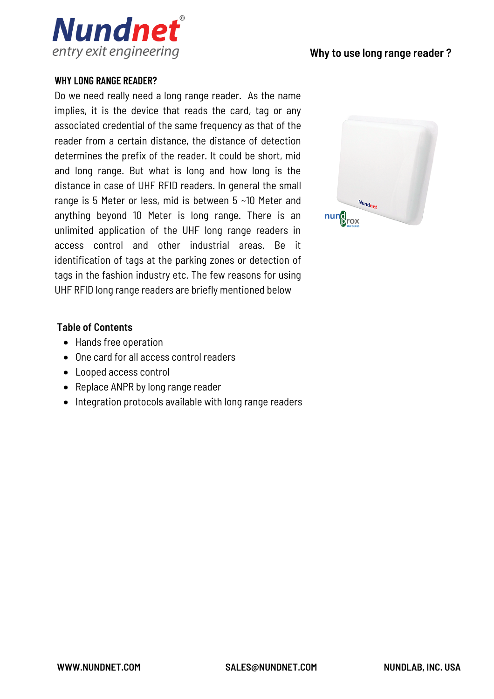

#### **WHY LONG RANGE READER?**

Do we need really need a long range reader. As the name implies, it is the device that reads the card, tag or any associated credential of the same frequency as that of the reader from a certain distance, the distance of detection determines the prefix of the reader. It could be short, mid and long range. But what is long and how long is the distance in case of UHF RFID readers. In general the small range is 5 Meter or less, mid is between 5 ~10 Meter and anything beyond 10 Meter is long range. There is an unlimited application of the UHF long range readers in access control and other industrial areas. Be it identification of tags at the parking zones or detection of tags in the fashion industry etc. The few reasons for using UHF RFID long range readers are briefly mentioned below



#### **Table of Contents**

- Hands free operation
- One card for all access control readers
- Looped access control
- Replace ANPR by long range reader
- Integration protocols available with long range readers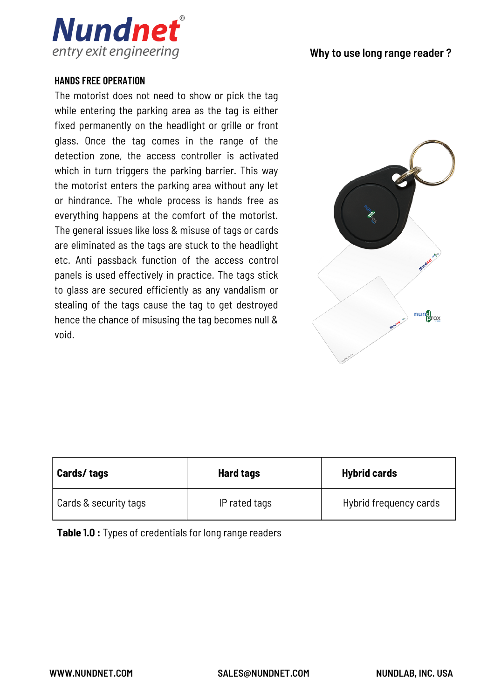

#### **HANDS FREE OPERATION**

The motorist does not need to show or pick the tag while entering the parking area as the tag is either fixed permanently on the headlight or grille or front glass. Once the tag comes in the range of the detection zone, the access controller is activated which in turn triggers the parking barrier. This way the motorist enters the parking area without any let or hindrance. The whole process is hands free as everything happens at the comfort of the motorist. The general issues like loss & misuse of tags or cards are eliminated as the tags are stuck to the headlight etc. Anti passback function of the access control panels is used effectively in practice. The tags stick to glass are secured efficiently as any vandalism or stealing of the tags cause the tag to get destroyed hence the chance of misusing the tag becomes null & void.



| Cards/ tags           | <b>Hard tags</b> | <b>Hybrid cards</b>    |
|-----------------------|------------------|------------------------|
| Cards & security tags | IP rated tags    | Hybrid frequency cards |

**Table 1.0 :** Types of credentials for long range readers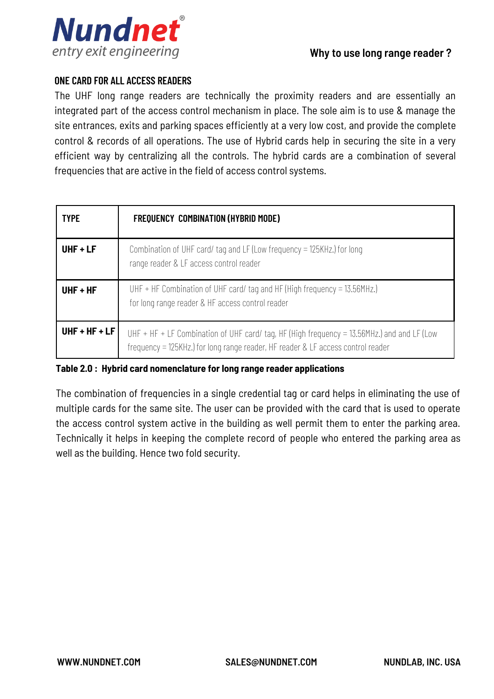

# **ONE CARD FOR ALL ACCESS READERS**

The UHF long range [readers](https://nundnet.com/Product/uhf-readers/) are technically the proximity readers and are essentially an integrated part of the access control mechanism in place. The sole aim is to use & manage the site entrances, exits and parking spaces efficiently at a very low cost, and provide the complete control & records of all operations. The use of [Hybrid](https://nundnet.com/Product/rfid-cards/dual-frequency-uhf-cards/) cards help in securing the site in a very efficient way by centralizing all the controls. The hybrid cards are a combination of several frequencies that are active in the field of access control systems.

| <b>TYPE</b>     | <b>FREQUENCY COMBINATION (HYBRID MODE)</b>                                                                                                                                          |
|-----------------|-------------------------------------------------------------------------------------------------------------------------------------------------------------------------------------|
| $UHF + LF$      | Combination of UHF card/ tag and LF (Low frequency = 125KHz.) for long<br>range reader & LF access control reader                                                                   |
| $UHF + HF$      | UHF $+$ HF Combination of UHF card/ tag and HF (High frequency = 13.56MHz.)<br>for long range reader & HF access control reader                                                     |
| $UHF + HF + LF$ | UHF $+$ HF $+$ LF Combination of UHF card/ tag, HF (High frequency = 13.56MHz.) and and LF (Low<br>frequency = 125KHz.) for long range reader, HF reader & LF access control reader |

#### **Table 2.0 : Hybrid card nomenclature for long range reader applications**

The combination of frequencies in a single credential tag or card helps in eliminating the use of multiple cards for the same site. The user can be provided with the card that is used to operate the access control system active in the building as well permit them to enter the parking area. Technically it helps in keeping the complete record of people who entered the parking area as well as the building. Hence two fold security.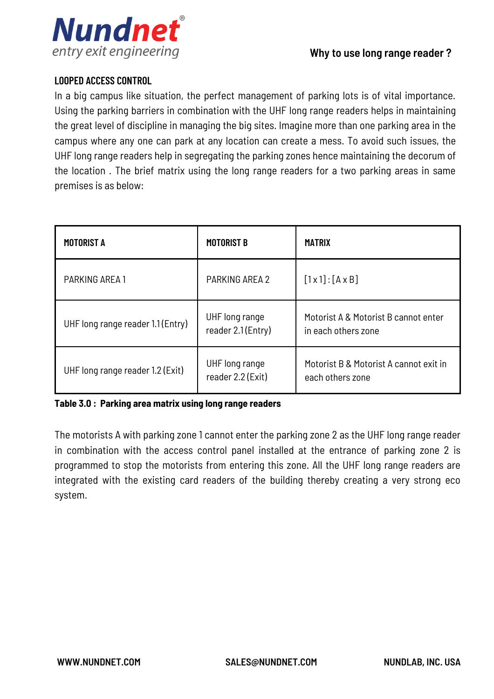

# **LOOPED ACCESS CONTROL**

In a big campus like situation, the perfect management of parking lots is of vital importance. Using the parking barriers in combination with the UHF long range readers helps in maintaining the great level of discipline in managing the big sites. Imagine more than one parking area in the campus where any one can park at any location can create a mess. To avoid such issues, the UHF long range readers help in segregating the parking zones hence maintaining the decorum of the location . The brief matrix using the long range readers for a two parking areas in same premises is as below:

| <b>MOTORIST A</b>                 | <b>MOTORIST B</b>                   | <b>MATRIX</b>                                               |
|-----------------------------------|-------------------------------------|-------------------------------------------------------------|
| PARKING AREA 1                    | PARKING AREA 2                      | $[1x1]: [A \times B]$                                       |
| UHF long range reader 1.1 (Entry) | UHF long range<br>reader 2.1(Entry) | Motorist A & Motorist B cannot enter<br>in each others zone |
| UHF long range reader 1.2 (Exit)  | UHF long range<br>reader 2.2 (Exit) | Motorist B & Motorist A cannot exit in<br>each others zone  |

#### **Table 3.0 : Parking area matrix using long range readers**

The motorists A with parking zone 1 cannot enter the parking zone 2 as the UHF long range reader in combination with the access control panel installed at the entrance of parking zone 2 is programmed to stop the motorists from entering this zone. All the UHF long range readers are integrated with the existing card readers of the building thereby creating a very strong eco system.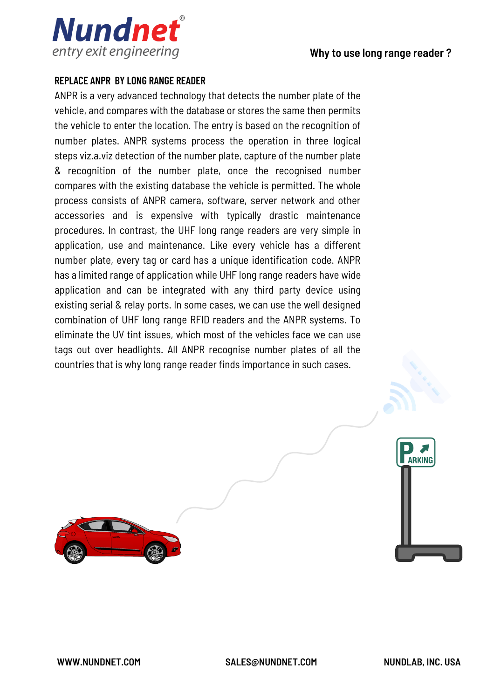

# **REPLACE ANPR BY LONG RANGE READER**

ANPR is a very advanced technology that detects the number plate of the vehicle, and compares with the database or stores the same then permits the vehicle to enter the location. The entry is based on the recognition of number plates. [ANPR](https://www.hawkberg.com/lpr-under-vehicle-scanner/) systems process the operation in three logical steps viz.a.viz detection of the number plate, capture of the number plate & recognition of the number plate, once the recognised number compares with the existing database the vehicle is permitted. The whole process consists of ANPR camera, software, server network and other accessories and is expensive with typically drastic maintenance procedures. In contrast, the UHF long range readers are very simple in application, use and maintenance. Like every vehicle has a different number plate, every tag or card has a unique identification code. ANPR has a limited range of application while UHF long range readers have wide application and can be integrated with any third party device using existing serial & relay ports. In some cases, we can use the well designed combination of UHF long range RFID readers and the ANPR systems. To eliminate the UV tint issues, which most of the vehicles face we can use tags out over headlights. All ANPR recognise number plates of all the countries that is why long range reader finds importance in such cases.



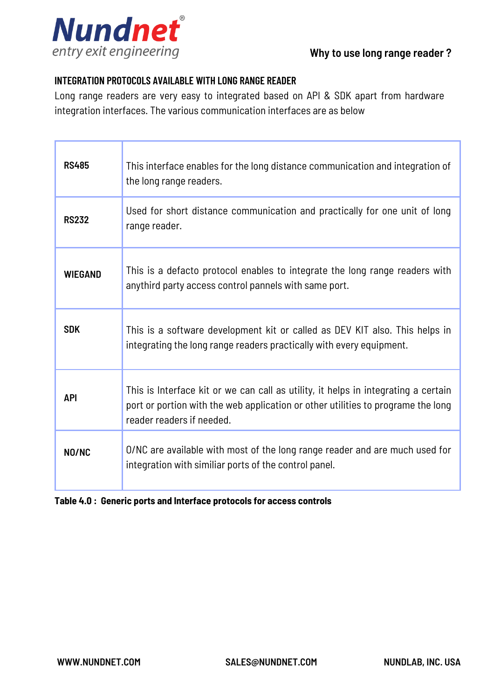

# **INTEGRATION PROTOCOLS AVAILABLE WITH LONG RANGE READER**

Long range readers are very easy to integrated based on API & SDK apart from hardware integration interfaces. The various communication interfaces are as below

| <b>RS485</b>   | This interface enables for the long distance communication and integration of<br>the long range readers.                                                                                            |
|----------------|-----------------------------------------------------------------------------------------------------------------------------------------------------------------------------------------------------|
| <b>RS232</b>   | Used for short distance communication and practically for one unit of long<br>range reader.                                                                                                         |
| <b>WIEGAND</b> | This is a defacto protocol enables to integrate the long range readers with<br>anythird party access control pannels with same port.                                                                |
| <b>SDK</b>     | This is a software development kit or called as DEV KIT also. This helps in<br>integrating the long range readers practically with every equipment.                                                 |
| <b>API</b>     | This is Interface kit or we can call as utility, it helps in integrating a certain<br>port or portion with the web application or other utilities to programe the long<br>reader readers if needed. |
| NO/NC          | O/NC are available with most of the long range reader and are much used for<br>integration with similiar ports of the control panel.                                                                |

# **Table 4.0 : Generic ports and Interface protocols for access controls**